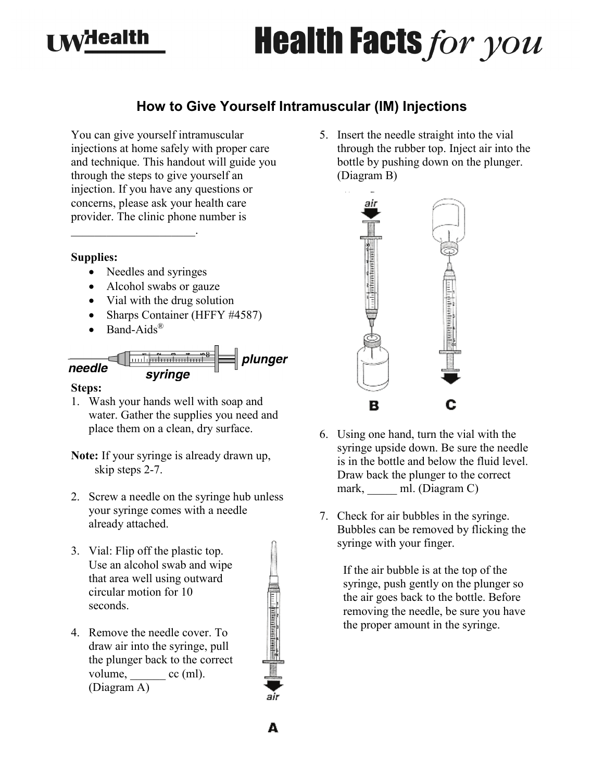## **y dealth**

# **Health Facts for you**

### **How to Give Yourself Intramuscular (IM) Injections**

You can give yourself intramuscular injections at home safely with proper care and technique. This handout will guide you through the steps to give yourself an injection. If you have any questions or concerns, please ask your health care provider. The clinic phone number is

#### **Supplies:**

• Needles and syringes

 $\mathcal{L}=\mathcal{L}^{\mathcal{L}}$  , where  $\mathcal{L}^{\mathcal{L}}$  , we have the set of  $\mathcal{L}^{\mathcal{L}}$ 

- Alcohol swabs or gauze
- Vial with the drug solution
- Sharps Container (HFFY #4587)
- Band-Aids®

#### **Steps:**

- 1. Wash your hands well with soap and water. Gather the supplies you need and place them on a clean, dry surface.
- **Note:** If your syringe is already drawn up, skip steps 2-7.
- 2. Screw a needle on the syringe hub unless your syringe comes with a needle already attached.
- 3. Vial: Flip off the plastic top. Use an alcohol swab and wipe that area well using outward circular motion for 10 seconds.
- 4. Remove the needle cover. To draw air into the syringe, pull the plunger back to the correct volume, cc (ml). (Diagram A)



5. Insert the needle straight into the vial through the rubber top. Inject air into the bottle by pushing down on the plunger. (Diagram B)



- 6. Using one hand, turn the vial with the syringe upside down. Be sure the needle is in the bottle and below the fluid level. Draw back the plunger to the correct mark, ml. (Diagram C)
- 7. Check for air bubbles in the syringe. Bubbles can be removed by flicking the syringe with your finger.

If the air bubble is at the top of the syringe, push gently on the plunger so the air goes back to the bottle. Before removing the needle, be sure you have the proper amount in the syringe.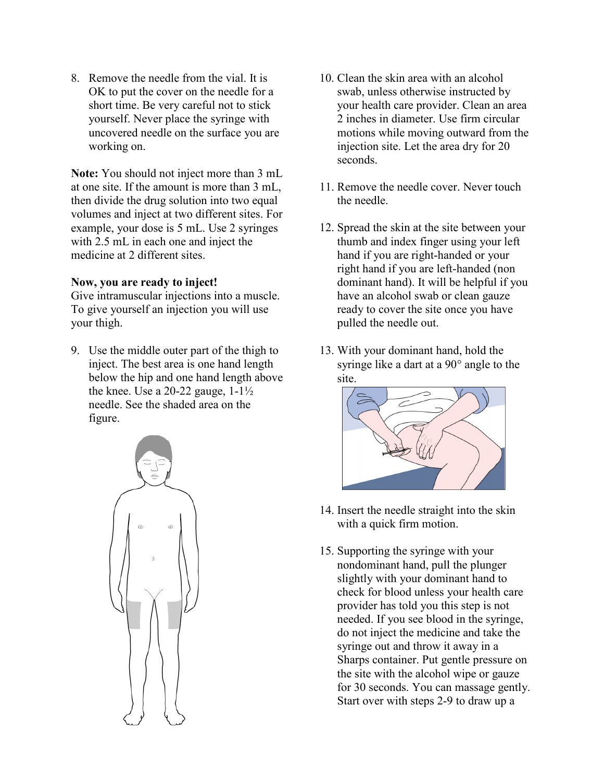8. Remove the needle from the vial. It is OK to put the cover on the needle for a short time. Be very careful not to stick yourself. Never place the syringe with uncovered needle on the surface you are working on.

**Note:** You should not inject more than 3 mL at one site. If the amount is more than 3 mL, then divide the drug solution into two equal volumes and inject at two different sites. For example, your dose is 5 mL. Use 2 syringes with 2.5 mL in each one and inject the medicine at 2 different sites.

#### **Now, you are ready to inject!**

Give intramuscular injections into a muscle. To give yourself an injection you will use your thigh.

9. Use the middle outer part of the thigh to inject. The best area is one hand length below the hip and one hand length above the knee. Use a 20-22 gauge,  $1-1\frac{1}{2}$ needle. See the shaded area on the figure.



- 10. Clean the skin area with an alcohol swab, unless otherwise instructed by your health care provider. Clean an area 2 inches in diameter. Use firm circular motions while moving outward from the injection site. Let the area dry for 20 seconds.
- 11. Remove the needle cover. Never touch the needle.
- 12. Spread the skin at the site between your thumb and index finger using your left hand if you are right-handed or your right hand if you are left-handed (non dominant hand). It will be helpful if you have an alcohol swab or clean gauze ready to cover the site once you have pulled the needle out.
- 13. With your dominant hand, hold the syringe like a dart at a 90° angle to the site.



- 14. Insert the needle straight into the skin with a quick firm motion.
- 15. Supporting the syringe with your nondominant hand, pull the plunger slightly with your dominant hand to check for blood unless your health care provider has told you this step is not needed. If you see blood in the syringe, do not inject the medicine and take the syringe out and throw it away in a Sharps container. Put gentle pressure on the site with the alcohol wipe or gauze for 30 seconds. You can massage gently. Start over with steps 2-9 to draw up a